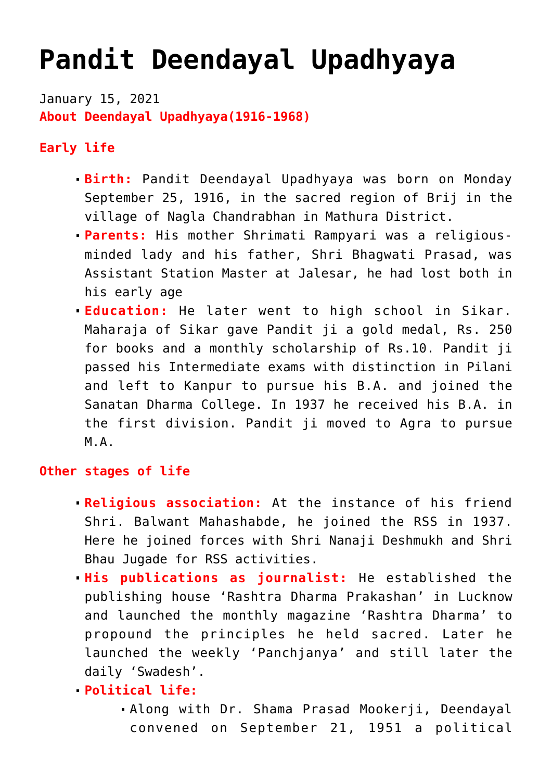# **[Pandit Deendayal Upadhyaya](https://journalsofindia.com/pandit-deendayal-upadhyaya/)**

January 15, 2021 **About Deendayal Upadhyaya(1916-1968)**

## **Early life**

- **Birth:** Pandit Deendayal Upadhyaya was born on Monday September 25, 1916, in the sacred region of Brij in the village of Nagla Chandrabhan in Mathura District.
- **Parents:** His mother Shrimati Rampyari was a religiousminded lady and his father, Shri Bhagwati Prasad, was Assistant Station Master at Jalesar, he had lost both in his early age
- **Education:** He later went to high school in Sikar. Maharaja of Sikar gave Pandit ji a gold medal, Rs. 250 for books and a monthly scholarship of Rs.10. Pandit ji passed his Intermediate exams with distinction in Pilani and left to Kanpur to pursue his B.A. and joined the Sanatan Dharma College. In 1937 he received his B.A. in the first division. Pandit ji moved to Agra to pursue M.A.

### **Other stages of life**

- **Religious association:** At the instance of his friend Shri. Balwant Mahashabde, he joined the RSS in 1937. Here he joined forces with Shri Nanaji Deshmukh and Shri Bhau Jugade for RSS activities.
- **His publications as journalist:** He established the publishing house 'Rashtra Dharma Prakashan' in Lucknow and launched the monthly magazine 'Rashtra Dharma' to propound the principles he held sacred. Later he launched the weekly 'Panchjanya' and still later the daily 'Swadesh'.
- **Political life:** 
	- Along with Dr. Shama Prasad Mookerji, Deendayal convened on September 21, 1951 a political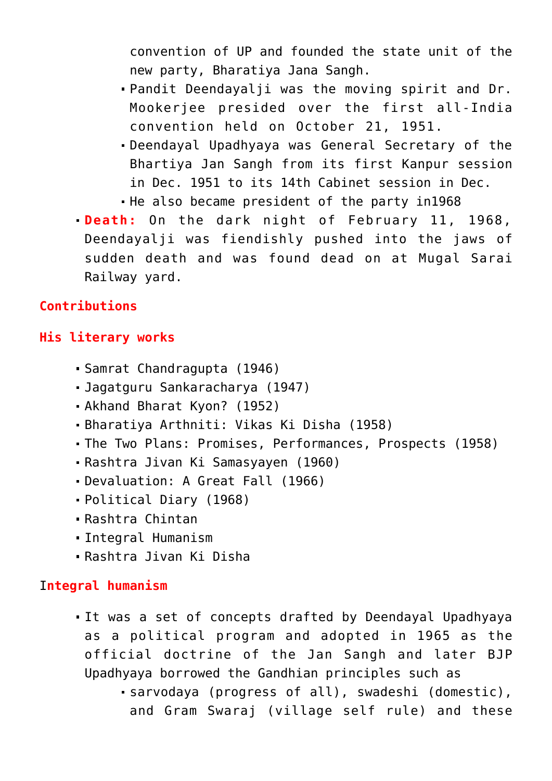convention of UP and founded the state unit of the new party, Bharatiya Jana Sangh.

- Pandit Deendayalji was the moving spirit and Dr. Mookerjee presided over the first all-India convention held on October 21, 1951.
- Deendayal Upadhyaya was General Secretary of the Bhartiya Jan Sangh from its first Kanpur session in Dec. 1951 to its 14th Cabinet session in Dec.
- He also became president of the party in1968
- **Death:** On the dark night of February 11, 1968, Deendayalji was fiendishly pushed into the jaws of sudden death and was found dead on at Mugal Sarai Railway yard.

## **Contributions**

### **His literary works**

- Samrat Chandragupta (1946)
- Jagatguru Sankaracharya (1947)
- Akhand Bharat Kyon? (1952)
- Bharatiya Arthniti: Vikas Ki Disha (1958)
- The Two Plans: Promises, Performances, Prospects (1958)
- Rashtra Jivan Ki Samasyayen (1960)
- Devaluation: A Great Fall (1966)
- Political Diary (1968)
- Rashtra Chintan
- Integral Humanism
- Rashtra Jivan Ki Disha

### I**ntegral humanism**

- It was a set of concepts drafted by Deendayal Upadhyaya as a political program and adopted in 1965 as the official doctrine of the Jan Sangh and later BJP Upadhyaya borrowed the Gandhian principles such as
	- sarvodaya (progress of all), swadeshi (domestic), and Gram Swaraj (village self rule) and these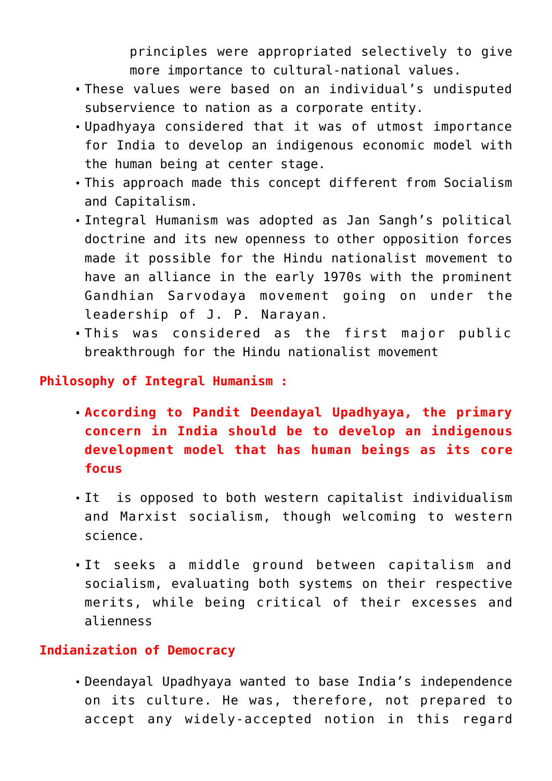principles were appropriated selectively to give more importance to cultural-national values.

- These values were based on an individual's undisputed subservience to nation as a corporate entity.
- Upadhyaya considered that it was of utmost importance for India to develop an indigenous economic model with the human being at center stage.
- This approach made this concept different from Socialism and Capitalism.
- Integral Humanism was adopted as Jan Sangh's political doctrine and its new openness to other opposition forces made it possible for the Hindu nationalist movement to have an alliance in the early 1970s with the prominent Gandhian Sarvodaya movement going on under the leadership of J. P. Narayan.
- This was considered as the first major public breakthrough for the Hindu nationalist movement

#### **Philosophy of Integral Humanism :**

- **According to Pandit Deendayal Upadhyaya, the primary concern in India should be to develop an indigenous development model that has human beings as its core focus**
- It is opposed to both western capitalist individualism and Marxist socialism, though welcoming to western science.
- It seeks a middle ground between capitalism and socialism, evaluating both systems on their respective merits, while being critical of their excesses and alienness

#### **Indianization of Democracy**

Deendayal Upadhyaya wanted to base India's independence on its culture. He was, therefore, not prepared to accept any widely-accepted notion in this regard